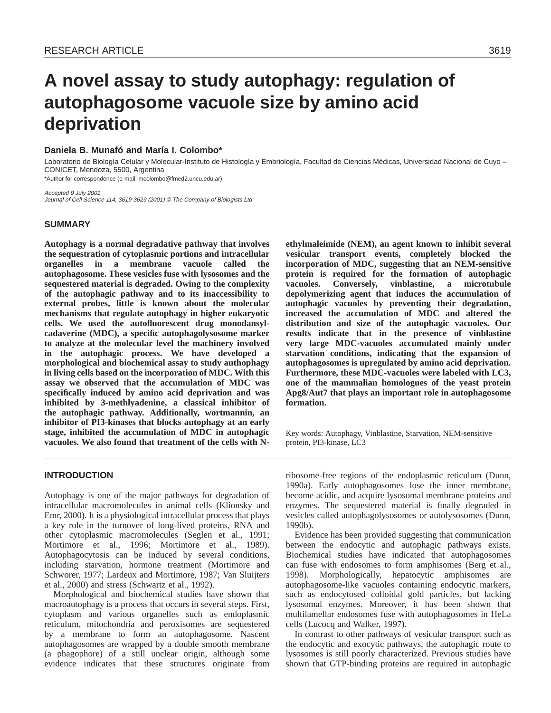# **A novel assay to study autophagy: regulation of autophagosome vacuole size by amino acid deprivation**

## **Daniela B. Munafó and María I. Colombo\***

Laboratorio de Biología Celular y Molecular-Instituto de Histología y Embriología, Facultad de Ciencias Médicas, Universidad Nacional de Cuyo – CONICET, Mendoza, 5500, Argentina

\*Author for correspondence (e-mail: mcolombo@fmed2.uncu.edu.ar)

Accepted 9 July 2001 Journal of Cell Science 114, 3619-3629 (2001) © The Company of Biologists Ltd

## **SUMMARY**

**Autophagy is a normal degradative pathway that involves the sequestration of cytoplasmic portions and intracellular organelles in a membrane vacuole called the autophagosome. These vesicles fuse with lysosomes and the sequestered material is degraded. Owing to the complexity of the autophagic pathway and to its inaccessibility to external probes, little is known about the molecular mechanisms that regulate autophagy in higher eukaryotic cells. We used the autofluorescent drug monodansylcadaverine (MDC), a specific autophagolysosome marker to analyze at the molecular level the machinery involved in the autophagic process. We have developed a morphological and biochemical assay to study authophagy in living cells based on the incorporation of MDC. With this assay we observed that the accumulation of MDC was specifically induced by amino acid deprivation and was inhibited by 3-methlyadenine, a classical inhibitor of the autophagic pathway. Additionally, wortmannin, an inhibitor of PI3-kinases that blocks autophagy at an early stage, inhibited the accumulation of MDC in autophagic vacuoles. We also found that treatment of the cells with N-**

**INTRODUCTION**

Autophagy is one of the major pathways for degradation of intracellular macromolecules in animal cells (Klionsky and Emr, 2000). It is a physiological intracellular process that plays a key role in the turnover of long-lived proteins, RNA and other cytoplasmic macromolecules (Seglen et al., 1991; Mortimore et al., 1996; Mortimore et al., 1989). Autophagocytosis can be induced by several conditions, including starvation, hormone treatment (Mortimore and Schworer, 1977; Lardeux and Mortimore, 1987; Van Sluijters et al., 2000) and stress (Schwartz et al., 1992).

Morphological and biochemical studies have shown that macroautophagy is a process that occurs in several steps. First, cytoplasm and various organelles such as endoplasmic reticulum, mitochondria and peroxisomes are sequestered by a membrane to form an autophagosome. Nascent autophagosomes are wrapped by a double smooth membrane (a phagophore) of a still unclear origin, although some evidence indicates that these structures originate from **ethylmaleimide (NEM), an agent known to inhibit several vesicular transport events, completely blocked the incorporation of MDC, suggesting that an NEM-sensitive protein is required for the formation of autophagic vacuoles. Conversely, vinblastine, a microtubule depolymerizing agent that induces the accumulation of autophagic vacuoles by preventing their degradation, increased the accumulation of MDC and altered the distribution and size of the autophagic vacuoles. Our results indicate that in the presence of vinblastine very large MDC-vacuoles accumulated mainly under starvation conditions, indicating that the expansion of autophagosomes is upregulated by amino acid deprivation. Furthermore, these MDC-vacuoles were labeled with LC3, one of the mammalian homologues of the yeast protein Apg8/Aut7 that plays an important role in autophagosome formation.**

Key words: Autophagy, Vinblastine, Starvation, NEM-sensitive protein, PI3-kinase, LC3

ribosome-free regions of the endoplasmic reticulum (Dunn, 1990a). Early autophagosomes lose the inner membrane, become acidic, and acquire lysosomal membrane proteins and enzymes. The sequestered material is finally degraded in vesicles called autophagolysosomes or autolysosomes (Dunn, 1990b).

Evidence has been provided suggesting that communication between the endocytic and autophagic pathways exists. Biochemical studies have indicated that autophagosomes can fuse with endosomes to form amphisomes (Berg et al., 1998). Morphologically, hepatocytic amphisomes are autophagosome-like vacuoles containing endocytic markers, such as endocytosed colloidal gold particles, but lacking lysosomal enzymes. Moreover, it has been shown that multilamellar endosomes fuse with autophagosomes in HeLa cells (Lucocq and Walker, 1997).

In contrast to other pathways of vesicular transport such as the endocytic and exocytic pathways, the autophagic route to lysosomes is still poorly characterized. Previous studies have shown that GTP-binding proteins are required in autophagic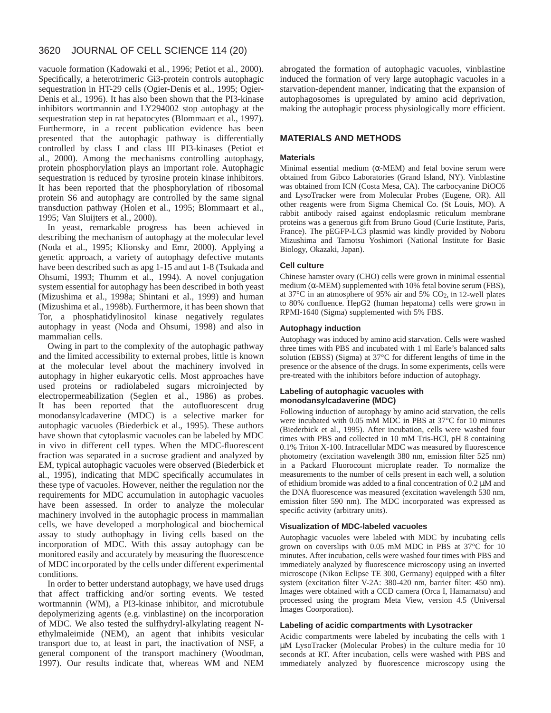#### 3620 JOURNAL OF CELL SCIENCE 114 (20)

vacuole formation (Kadowaki et al., 1996; Petiot et al., 2000). Specifically, a heterotrimeric Gi3-protein controls autophagic sequestration in HT-29 cells (Ogier-Denis et al., 1995; Ogier-Denis et al., 1996). It has also been shown that the PI3-kinase inhibitors wortmannin and LY294002 stop autophagy at the sequestration step in rat hepatocytes (Blommaart et al., 1997). Furthermore, in a recent publication evidence has been presented that the autophagic pathway is differentially controlled by class I and class III PI3-kinases (Petiot et al., 2000). Among the mechanisms controlling autophagy, protein phosphorylation plays an important role. Autophagic sequestration is reduced by tyrosine protein kinase inhibitors. It has been reported that the phosphorylation of ribosomal protein S6 and autophagy are controlled by the same signal transduction pathway (Holen et al., 1995; Blommaart et al., 1995; Van Sluijters et al., 2000).

In yeast, remarkable progress has been achieved in describing the mechanism of autophagy at the molecular level (Noda et al., 1995; Klionsky and Emr, 2000). Applying a genetic approach, a variety of autophagy defective mutants have been described such as apg 1-15 and aut 1-8 (Tsukada and Ohsumi, 1993; Thumm et al., 1994). A novel conjugation system essential for autophagy has been described in both yeast (Mizushima et al., 1998a; Shintani et al., 1999) and human (Mizushima et al., 1998b). Furthermore, it has been shown that Tor, a phosphatidylinositol kinase negatively regulates autophagy in yeast (Noda and Ohsumi, 1998) and also in mammalian cells.

Owing in part to the complexity of the autophagic pathway and the limited accessibility to external probes, little is known at the molecular level about the machinery involved in autophagy in higher eukaryotic cells. Most approaches have used proteins or radiolabeled sugars microinjected by electropermeabilization (Seglen et al., 1986) as probes. It has been reported that the autofluorescent drug monodansylcadaverine (MDC) is a selective marker for autophagic vacuoles (Biederbick et al., 1995). These authors have shown that cytoplasmic vacuoles can be labeled by MDC in vivo in different cell types. When the MDC-fluorescent fraction was separated in a sucrose gradient and analyzed by EM, typical autophagic vacuoles were observed (Biederbick et al., 1995), indicating that MDC specifically accumulates in these type of vacuoles. However, neither the regulation nor the requirements for MDC accumulation in autophagic vacuoles have been assessed. In order to analyze the molecular machinery involved in the autophagic process in mammalian cells, we have developed a morphological and biochemical assay to study authophagy in living cells based on the incorporation of MDC. With this assay autophagy can be monitored easily and accurately by measuring the fluorescence of MDC incorporated by the cells under different experimental conditions.

In order to better understand autophagy, we have used drugs that affect trafficking and/or sorting events. We tested wortmannin (WM), a PI3-kinase inhibitor, and microtubule depolymerizing agents (e.g. vinblastine) on the incorporation of MDC. We also tested the sulfhydryl-alkylating reagent Nethylmaleimide (NEM), an agent that inhibits vesicular transport due to, at least in part, the inactivation of NSF, a general component of the transport machinery (Woodman, 1997). Our results indicate that, whereas WM and NEM

abrogated the formation of autophagic vacuoles, vinblastine induced the formation of very large autophagic vacuoles in a starvation-dependent manner, indicating that the expansion of autophagosomes is upregulated by amino acid deprivation, making the autophagic process physiologically more efficient.

# **MATERIALS AND METHODS**

#### **Materials**

Minimal essential medium ( $\alpha$ -MEM) and fetal bovine serum were obtained from Gibco Laboratories (Grand Island, NY). Vinblastine was obtained from ICN (Costa Mesa, CA). The carbocyanine DiOC6 and LysoTracker were from Molecular Probes (Eugene, OR). All other reagents were from Sigma Chemical Co. (St Louis, MO). A rabbit antibody raised against endoplasmic reticulum membrane proteins was a generous gift from Bruno Goud (Curie Institute, Paris, France). The pEGFP-LC3 plasmid was kindly provided by Noboru Mizushima and Tamotsu Yoshimori (National Institute for Basic Biology, Okazaki, Japan).

#### **Cell culture**

Chinese hamster ovary (CHO) cells were grown in minimal essential medium ( $\alpha$ -MEM) supplemented with 10% fetal bovine serum (FBS), at 37°C in an atmosphere of 95% air and 5% CO2, in 12-well plates to 80% confluence. HepG2 (human hepatoma) cells were grown in RPMI-1640 (Sigma) supplemented with 5% FBS.

#### **Autophagy induction**

Autophagy was induced by amino acid starvation. Cells were washed three times with PBS and incubated with 1 ml Earle's balanced salts solution (EBSS) (Sigma) at 37°C for different lengths of time in the presence or the absence of the drugs. In some experiments, cells were pre-treated with the inhibitors before induction of autophagy.

### **Labeling of autophagic vacuoles with monodansylcadaverine (MDC)**

Following induction of autophagy by amino acid starvation, the cells were incubated with 0.05 mM MDC in PBS at 37°C for 10 minutes (Biederbick et al., 1995). After incubation, cells were washed four times with PBS and collected in 10 mM Tris-HCl, pH 8 containing 0.1% Triton X-100. Intracellular MDC was measured by fluorescence photometry (excitation wavelength 380 nm, emission filter 525 nm) in a Packard Fluorocount microplate reader. To normalize the measurements to the number of cells present in each well, a solution of ethidium bromide was added to a final concentration of 0.2 µM and the DNA fluorescence was measured (excitation wavelength 530 nm, emission filter 590 nm). The MDC incorporated was expressed as specific activity (arbitrary units).

#### **Visualization of MDC-labeled vacuoles**

Autophagic vacuoles were labeled with MDC by incubating cells grown on coverslips with 0.05 mM MDC in PBS at 37°C for 10 minutes. After incubation, cells were washed four times with PBS and immediately analyzed by fluorescence microscopy using an inverted microscope (Nikon Eclipse TE 300, Germany) equipped with a filter system (excitation filter V-2A: 380-420 nm, barrier filter: 450 nm). Images were obtained with a CCD camera (Orca I, Hamamatsu) and processed using the program Meta View, version 4.5 (Universal Images Coorporation).

#### **Labeling of acidic compartments with Lysotracker**

Acidic compartments were labeled by incubating the cells with 1 µM LysoTracker (Molecular Probes) in the culture media for 10 seconds at RT. After incubation, cells were washed with PBS and immediately analyzed by fluorescence microscopy using the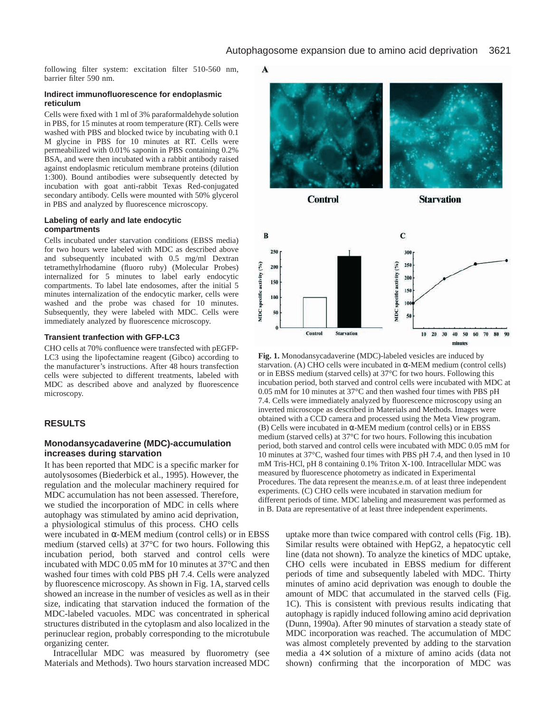following filter system: excitation filter 510-560 nm, barrier filter 590 nm.

#### **Indirect immunofluorescence for endoplasmic reticulum**

Cells were fixed with 1 ml of 3% paraformaldehyde solution in PBS, for 15 minutes at room temperature (RT). Cells were washed with PBS and blocked twice by incubating with 0.1 M glycine in PBS for 10 minutes at RT. Cells were permeabilized with 0.01% saponin in PBS containing 0.2% BSA, and were then incubated with a rabbit antibody raised against endoplasmic reticulum membrane proteins (dilution 1:300). Bound antibodies were subsequently detected by incubation with goat anti-rabbit Texas Red-conjugated secondary antibody. Cells were mounted with 50% glycerol in PBS and analyzed by fluorescence microscopy.

#### **Labeling of early and late endocytic compartments**

Cells incubated under starvation conditions (EBSS media) for two hours were labeled with MDC as described above and subsequently incubated with 0.5 mg/ml Dextran tetramethylrhodamine (fluoro ruby) (Molecular Probes) internalized for 5 minutes to label early endocytic compartments. To label late endosomes, after the initial 5 minutes internalization of the endocytic marker, cells were washed and the probe was chased for 10 minutes. Subsequently, they were labeled with MDC. Cells were immediately analyzed by fluorescence microscopy.

#### **Transient tranfection with GFP-LC3**

CHO cells at 70% confluence were transfected with pEGFP-LC3 using the lipofectamine reagent (Gibco) according to the manufacturer's instructions. After 48 hours transfection cells were subjected to different treatments, labeled with MDC as described above and analyzed by fluorescence microscopy.

# **RESULTS**

# **Monodansycadaverine (MDC)-accumulation increases during starvation**

It has been reported that MDC is a specific marker for autolysosomes (Biederbick et al., 1995). However, the regulation and the molecular machinery required for MDC accumulation has not been assessed. Therefore, we studied the incorporation of MDC in cells where autophagy was stimulated by amino acid deprivation, a physiological stimulus of this process. CHO cells

were incubated in  $\alpha$ -MEM medium (control cells) or in EBSS medium (starved cells) at 37°C for two hours. Following this incubation period, both starved and control cells were incubated with MDC 0.05 mM for 10 minutes at 37°C and then washed four times with cold PBS pH 7.4. Cells were analyzed by fluorescence microscopy. As shown in Fig. 1A, starved cells showed an increase in the number of vesicles as well as in their size, indicating that starvation induced the formation of the MDC-labeled vacuoles. MDC was concentrated in spherical structures distributed in the cytoplasm and also localized in the perinuclear region, probably corresponding to the microtubule organizing center.

Intracellular MDC was measured by fluorometry (see Materials and Methods). Two hours starvation increased MDC

 $\blacktriangle$ 



**Control** 

**Starvation** 



**Fig. 1.** Monodansycadaverine (MDC)-labeled vesicles are induced by starvation. (A) CHO cells were incubated in  $\alpha$ -MEM medium (control cells) or in EBSS medium (starved cells) at 37°C for two hours. Following this incubation period, both starved and control cells were incubated with MDC at 0.05 mM for 10 minutes at 37°C and then washed four times with PBS pH 7.4. Cells were immediately analyzed by fluorescence microscopy using an inverted microscope as described in Materials and Methods. Images were obtained with a CCD camera and processed using the Meta View program. (B) Cells were incubated in  $\alpha$ -MEM medium (control cells) or in EBSS medium (starved cells) at 37°C for two hours. Following this incubation period, both starved and control cells were incubated with MDC 0.05 mM for 10 minutes at 37°C, washed four times with PBS pH 7.4, and then lysed in 10 mM Tris-HCl, pH 8 containing 0.1% Triton X-100. Intracellular MDC was measured by fluorescence photometry as indicated in Experimental Procedures. The data represent the mean±s.e.m. of at least three independent experiments. (C) CHO cells were incubated in starvation medium for different periods of time. MDC labeling and measurement was performed as in B. Data are representative of at least three independent experiments.

> uptake more than twice compared with control cells (Fig. 1B). Similar results were obtained with HepG2, a hepatocytic cell line (data not shown). To analyze the kinetics of MDC uptake, CHO cells were incubated in EBSS medium for different periods of time and subsequently labeled with MDC. Thirty minutes of amino acid deprivation was enough to double the amount of MDC that accumulated in the starved cells (Fig. 1C). This is consistent with previous results indicating that autophagy is rapidly induced following amino acid deprivation (Dunn, 1990a). After 90 minutes of starvation a steady state of MDC incorporation was reached. The accumulation of MDC was almost completely prevented by adding to the starvation media a 4× solution of a mixture of amino acids (data not shown) confirming that the incorporation of MDC was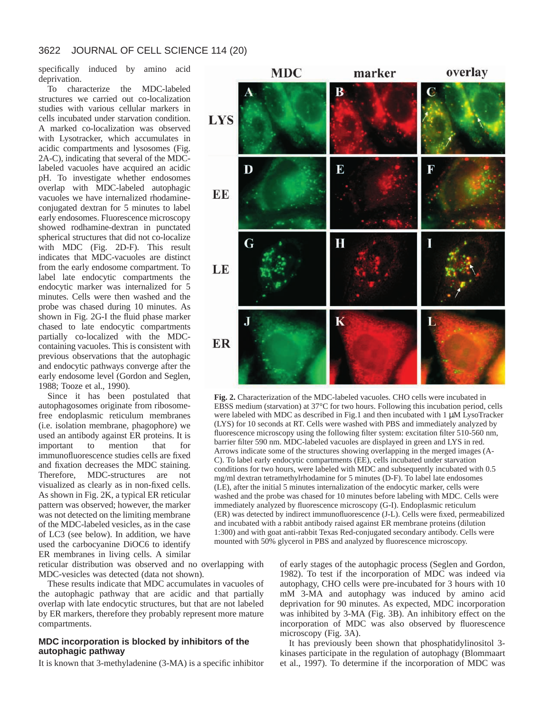specifically induced by amino acid deprivation.

To characterize the MDC-labeled structures we carried out co-localization studies with various cellular markers in cells incubated under starvation condition. A marked co-localization was observed with Lysotracker, which accumulates in acidic compartments and lysosomes (Fig. 2A-C), indicating that several of the MDClabeled vacuoles have acquired an acidic pH. To investigate whether endosomes overlap with MDC-labeled autophagic vacuoles we have internalized rhodamineconjugated dextran for 5 minutes to label early endosomes. Fluorescence microscopy showed rodhamine-dextran in punctated spherical structures that did not co-localize with MDC (Fig. 2D-F). This result indicates that MDC-vacuoles are distinct from the early endosome compartment. To label late endocytic compartments the endocytic marker was internalized for 5 minutes. Cells were then washed and the probe was chased during 10 minutes. As shown in Fig. 2G-I the fluid phase marker chased to late endocytic compartments partially co-localized with the MDCcontaining vacuoles. This is consistent with previous observations that the autophagic and endocytic pathways converge after the early endosome level (Gordon and Seglen, 1988; Tooze et al., 1990).

Since it has been postulated that autophagosomes originate from ribosomefree endoplasmic reticulum membranes (i.e. isolation membrane, phagophore) we used an antibody against ER proteins. It is<br>important to mention that for important to mention that for immunofluorescence studies cells are fixed and fixation decreases the MDC staining. Therefore, MDC-structures are not visualized as clearly as in non-fixed cells. As shown in Fig. 2K*,* a typical ER reticular pattern was observed; however, the marker was not detected on the limiting membrane of the MDC-labeled vesicles, as in the case of LC3 (see below). In addition, we have used the carbocyanine DiOC6 to identify ER membranes in living cells. A similar

reticular distribution was observed and no overlapping with MDC-vesicles was detected (data not shown).

These results indicate that MDC accumulates in vacuoles of the autophagic pathway that are acidic and that partially overlap with late endocytic structures, but that are not labeled by ER markers, therefore they probably represent more mature compartments.

#### **MDC incorporation is blocked by inhibitors of the autophagic pathway**

It is known that 3-methyladenine (3-MA) is a specific inhibitor



**Fig. 2.** Characterization of the MDC-labeled vacuoles. CHO cells were incubated in EBSS medium (starvation) at 37°C for two hours. Following this incubation period, cells were labeled with MDC as described in Fig.1 and then incubated with 1  $\mu$ M LysoTracker (LYS) for 10 seconds at RT. Cells were washed with PBS and immediately analyzed by fluorescence microscopy using the following filter system: excitation filter 510-560 nm, barrier filter 590 nm. MDC-labeled vacuoles are displayed in green and LYS in red. Arrows indicate some of the structures showing overlapping in the merged images (A-C). To label early endocytic compartments (EE), cells incubated under starvation conditions for two hours, were labeled with MDC and subsequently incubated with 0.5 mg/ml dextran tetramethylrhodamine for 5 minutes (D-F). To label late endosomes (LE), after the initial 5 minutes internalization of the endocytic marker, cells were washed and the probe was chased for 10 minutes before labeling with MDC. Cells were immediately analyzed by fluorescence microscopy (G-I). Endoplasmic reticulum (ER) was detected by indirect immunofluorescence (J-L). Cells were fixed, permeabilized and incubated with a rabbit antibody raised against ER membrane proteins (dilution 1:300) and with goat anti-rabbit Texas Red-conjugated secondary antibody. Cells were mounted with 50% glycerol in PBS and analyzed by fluorescence microscopy.

of early stages of the autophagic process (Seglen and Gordon, 1982). To test if the incorporation of MDC was indeed via autophagy, CHO cells were pre-incubated for 3 hours with 10 mM 3-MA and autophagy was induced by amino acid deprivation for 90 minutes. As expected, MDC incorporation was inhibited by 3-MA (Fig. 3B). An inhibitory effect on the incorporation of MDC was also observed by fluorescence microscopy (Fig. 3A).

It has previously been shown that phosphatidylinositol 3 kinases participate in the regulation of autophagy (Blommaart et al., 1997). To determine if the incorporation of MDC was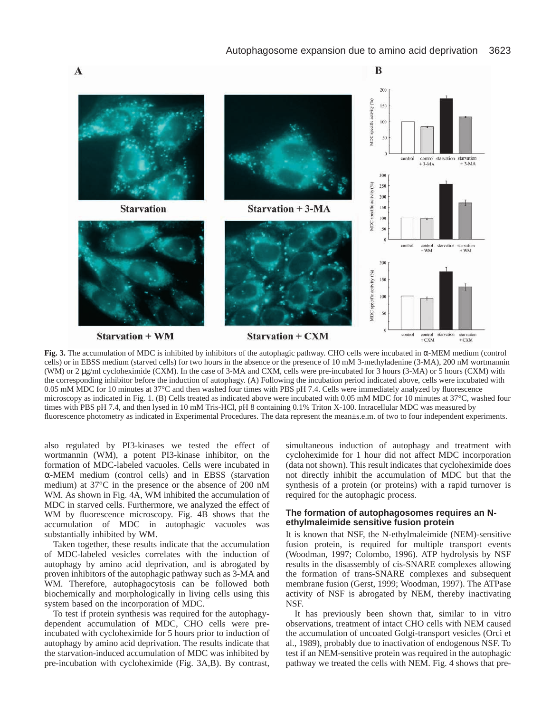

**Fig. 3.** The accumulation of MDC is inhibited by inhibitors of the autophagic pathway. CHO cells were incubated in α-MEM medium (control cells) or in EBSS medium (starved cells) for two hours in the absence or the presence of 10 mM 3-methyladenine (3-MA), 200 nM wortmannin (WM) or 2 µg/ml cycloheximide (CXM). In the case of 3-MA and CXM, cells were pre-incubated for 3 hours (3-MA) or 5 hours (CXM) with the corresponding inhibitor before the induction of autophagy. (A) Following the incubation period indicated above, cells were incubated with 0.05 mM MDC for 10 minutes at 37°C and then washed four times with PBS pH 7.4. Cells were immediately analyzed by fluorescence microscopy as indicated in Fig. 1. (B) Cells treated as indicated above were incubated with 0.05 mM MDC for 10 minutes at 37°C, washed four times with PBS pH 7.4, and then lysed in 10 mM Tris-HCl, pH 8 containing 0.1% Triton X-100. Intracellular MDC was measured by fluorescence photometry as indicated in Experimental Procedures. The data represent the mean±s.e.m. of two to four independent experiments.

also regulated by PI3-kinases we tested the effect of wortmannin (WM), a potent PI3-kinase inhibitor, on the formation of MDC-labeled vacuoles. Cells were incubated in α-MEM medium (control cells) and in EBSS (starvation medium) at 37°C in the presence or the absence of 200 nM WM. As shown in Fig. 4A, WM inhibited the accumulation of MDC in starved cells. Furthermore, we analyzed the effect of WM by fluorescence microscopy. Fig. 4B shows that the accumulation of MDC in autophagic vacuoles was substantially inhibited by WM.

Taken together, these results indicate that the accumulation of MDC-labeled vesicles correlates with the induction of autophagy by amino acid deprivation, and is abrogated by proven inhibitors of the autophagic pathway such as 3-MA and WM. Therefore, autophagocytosis can be followed both biochemically and morphologically in living cells using this system based on the incorporation of MDC.

To test if protein synthesis was required for the autophagydependent accumulation of MDC, CHO cells were preincubated with cycloheximide for 5 hours prior to induction of autophagy by amino acid deprivation. The results indicate that the starvation-induced accumulation of MDC was inhibited by pre-incubation with cycloheximide (Fig. 3A,B). By contrast,

simultaneous induction of autophagy and treatment with cycloheximide for 1 hour did not affect MDC incorporation (data not shown). This result indicates that cycloheximide does not directly inhibit the accumulation of MDC but that the synthesis of a protein (or proteins) with a rapid turnover is required for the autophagic process.

# **The formation of autophagosomes requires an Nethylmaleimide sensitive fusion protein**

It is known that NSF, the N-ethylmaleimide (NEM)-sensitive fusion protein, is required for multiple transport events (Woodman, 1997; Colombo, 1996). ATP hydrolysis by NSF results in the disassembly of cis-SNARE complexes allowing the formation of trans-SNARE complexes and subsequent membrane fusion (Gerst, 1999; Woodman, 1997). The ATPase activity of NSF is abrogated by NEM, thereby inactivating NSF.

It has previously been shown that, similar to in vitro observations, treatment of intact CHO cells with NEM caused the accumulation of uncoated Golgi-transport vesicles (Orci et al., 1989), probably due to inactivation of endogenous NSF. To test if an NEM-sensitive protein was required in the autophagic pathway we treated the cells with NEM. Fig. 4 shows that pre-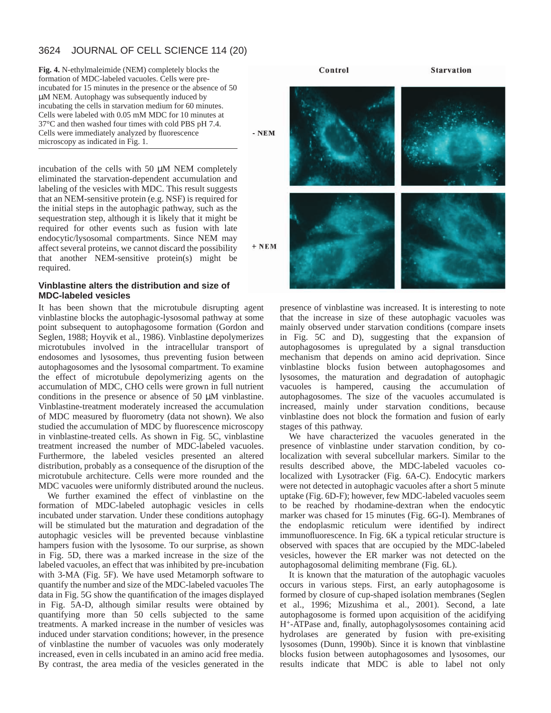#### 3624 JOURNAL OF CELL SCIENCE 114 (20)

**Fig. 4.** N-ethylmaleimide (NEM) completely blocks the formation of MDC-labeled vacuoles. Cells were preincubated for 15 minutes in the presence or the absence of 50 µM NEM. Autophagy was subsequently induced by incubating the cells in starvation medium for 60 minutes. Cells were labeled with 0.05 mM MDC for 10 minutes at 37°C and then washed four times with cold PBS pH 7.4. Cells were immediately analyzed by fluorescence microscopy as indicated in Fig. 1.

 $-$  NEM

incubation of the cells with 50 µM NEM completely eliminated the starvation-dependent accumulation and labeling of the vesicles with MDC. This result suggests that an NEM-sensitive protein (e.g. NSF) is required for the initial steps in the autophagic pathway, such as the sequestration step, although it is likely that it might be required for other events such as fusion with late endocytic/lysosomal compartments. Since NEM may affect several proteins, we cannot discard the possibility that another NEM-sensitive protein(s) might be required.

# **Vinblastine alters the distribution and size of MDC-labeled vesicles**

It has been shown that the microtubule disrupting agent vinblastine blocks the autophagic-lysosomal pathway at some point subsequent to autophagosome formation (Gordon and Seglen, 1988; Hoyvik et al., 1986). Vinblastine depolymerizes microtubules involved in the intracellular transport of endosomes and lysosomes, thus preventing fusion between autophagosomes and the lysosomal compartment. To examine the effect of microtubule depolymerizing agents on the accumulation of MDC, CHO cells were grown in full nutrient conditions in the presence or absence of 50 µM vinblastine. Vinblastine-treatment moderately increased the accumulation of MDC measured by fluorometry (data not shown). We also studied the accumulation of MDC by fluorescence microscopy in vinblastine-treated cells. As shown in Fig. 5C, vinblastine treatment increased the number of MDC-labeled vacuoles. Furthermore, the labeled vesicles presented an altered distribution, probably as a consequence of the disruption of the microtubule architecture. Cells were more rounded and the MDC vacuoles were uniformly distributed around the nucleus.

We further examined the effect of vinblastine on the formation of MDC-labeled autophagic vesicles in cells incubated under starvation. Under these conditions autophagy will be stimulated but the maturation and degradation of the autophagic vesicles will be prevented because vinblastine hampers fusion with the lysosome. To our surprise, as shown in Fig. 5D, there was a marked increase in the size of the labeled vacuoles, an effect that was inhibited by pre-incubation with 3-MA (Fig. 5F). We have used Metamorph software to quantify the number and size of the MDC-labeled vacuoles The data in Fig. 5G show the quantification of the images displayed in Fig. 5A-D, although similar results were obtained by quantifying more than 50 cells subjected to the same treatments. A marked increase in the number of vesicles was induced under starvation conditions; however, in the presence of vinblastine the number of vacuoles was only moderately increased, even in cells incubated in an amino acid free media. By contrast, the area media of the vesicles generated in the



presence of vinblastine was increased. It is interesting to note that the increase in size of these autophagic vacuoles was mainly observed under starvation conditions (compare insets in Fig. 5C and D), suggesting that the expansion of autophagosomes is upregulated by a signal transduction mechanism that depends on amino acid deprivation. Since vinblastine blocks fusion between autophagosomes and lysosomes, the maturation and degradation of autophagic vacuoles is hampered, causing the accumulation of autophagosomes. The size of the vacuoles accumulated is increased, mainly under starvation conditions, because vinblastine does not block the formation and fusion of early stages of this pathway.

We have characterized the vacuoles generated in the presence of vinblastine under starvation condition, by colocalization with several subcellular markers. Similar to the results described above, the MDC-labeled vacuoles colocalized with Lysotracker (Fig. 6A-C). Endocytic markers were not detected in autophagic vacuoles after a short 5 minute uptake (Fig. 6D-F); however, few MDC-labeled vacuoles seem to be reached by rhodamine-dextran when the endocytic marker was chased for 15 minutes (Fig. 6G-I). Membranes of the endoplasmic reticulum were identified by indirect immunofluorescence. In Fig. 6K a typical reticular structure is observed with spaces that are occupied by the MDC-labeled vesicles, however the ER marker was not detected on the autophagosomal delimiting membrane (Fig. 6L).

It is known that the maturation of the autophagic vacuoles occurs in various steps. First, an early autophagosome is formed by closure of cup-shaped isolation membranes (Seglen et al., 1996; Mizushima et al., 2001). Second, a late autophagosome is formed upon acquisition of the acidifying H+-ATPase and, finally, autophagolysosomes containing acid hydrolases are generated by fusion with pre-exisiting lysosomes (Dunn, 1990b). Since it is known that vinblastine blocks fusion between autophagosomes and lysosomes, our results indicate that MDC is able to label not only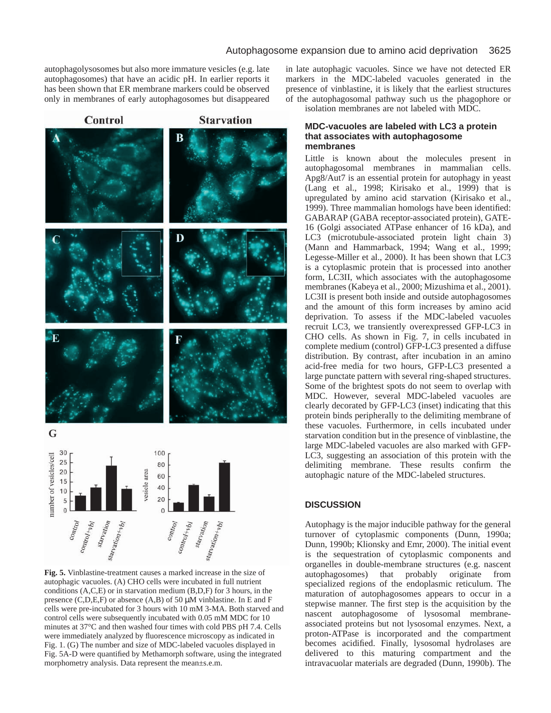autophagolysosomes but also more immature vesicles (e.g. late autophagosomes) that have an acidic pH. In earlier reports it has been shown that ER membrane markers could be observed only in membranes of early autophagosomes but disappeared

Control

# **Starvation**



**Fig. 5.** Vinblastine-treatment causes a marked increase in the size of autophagic vacuoles. (A) CHO cells were incubated in full nutrient conditions (A,C,E) or in starvation medium (B,D,F) for 3 hours, in the presence (C,D,E,F) or absence (A,B) of 50 µM vinblastine. In E and F cells were pre-incubated for 3 hours with 10 mM 3-MA. Both starved and control cells were subsequently incubated with 0.05 mM MDC for 10 minutes at 37°C and then washed four times with cold PBS pH 7.4. Cells were immediately analyzed by fluorescence microscopy as indicated in Fig. 1. (G) The number and size of MDC-labeled vacuoles displayed in Fig. 5A-D were quantified by Methamorph software, using the integrated morphometry analysis. Data represent the mean±s.e.m.

in late autophagic vacuoles. Since we have not detected ER markers in the MDC-labeled vacuoles generated in the presence of vinblastine, it is likely that the earliest structures of the autophagosomal pathway such us the phagophore or isolation membranes are not labeled with MDC.

## **MDC-vacuoles are labeled with LC3 a protein that associates with autophagosome membranes**

Little is known about the molecules present in autophagosomal membranes in mammalian cells. Apg8/Aut7 is an essential protein for autophagy in yeast (Lang et al., 1998; Kirisako et al., 1999) that is upregulated by amino acid starvation (Kirisako et al., 1999). Three mammalian homologs have been identified: GABARAP (GABA receptor-associated protein), GATE-16 (Golgi associated ATPase enhancer of 16 kDa), and LC3 (microtubule-associated protein light chain 3) (Mann and Hammarback, 1994; Wang et al., 1999; Legesse-Miller et al., 2000). It has been shown that LC3 is a cytoplasmic protein that is processed into another form, LC3II, which associates with the autophagosome membranes (Kabeya et al., 2000; Mizushima et al., 2001). LC3II is present both inside and outside autophagosomes and the amount of this form increases by amino acid deprivation. To assess if the MDC-labeled vacuoles recruit LC3, we transiently overexpressed GFP-LC3 in CHO cells. As shown in Fig. 7, in cells incubated in complete medium (control) GFP-LC3 presented a diffuse distribution. By contrast, after incubation in an amino acid-free media for two hours, GFP-LC3 presented a large punctate pattern with several ring-shaped structures. Some of the brightest spots do not seem to overlap with MDC. However, several MDC-labeled vacuoles are clearly decorated by GFP-LC3 (inset) indicating that this protein binds peripherally to the delimiting membrane of these vacuoles. Furthermore, in cells incubated under starvation condition but in the presence of vinblastine, the large MDC-labeled vacuoles are also marked with GFP-LC3, suggesting an association of this protein with the delimiting membrane. These results confirm the autophagic nature of the MDC-labeled structures.

# **DISCUSSION**

Autophagy is the major inducible pathway for the general turnover of cytoplasmic components (Dunn, 1990a; Dunn, 1990b; Klionsky and Emr, 2000). The initial event is the sequestration of cytoplasmic components and organelles in double-membrane structures (e.g. nascent autophagosomes) that probably originate from specialized regions of the endoplasmic reticulum. The maturation of autophagosomes appears to occur in a stepwise manner. The first step is the acquisition by the nascent autophagosome of lysosomal membraneassociated proteins but not lysosomal enzymes. Next, a proton-ATPase is incorporated and the compartment becomes acidified. Finally, lysosomal hydrolases are delivered to this maturing compartment and the intravacuolar materials are degraded (Dunn, 1990b). The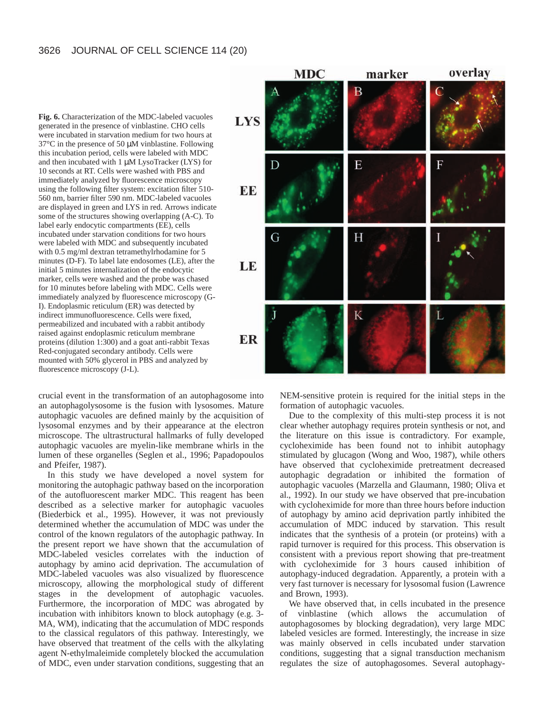**Fig. 6.** Characterization of the MDC-labeled vacuoles generated in the presence of vinblastine. CHO cells were incubated in starvation medium for two hours at 37°C in the presence of 50 µM vinblastine. Following this incubation period, cells were labeled with MDC and then incubated with 1 µM LysoTracker (LYS) for 10 seconds at RT. Cells were washed with PBS and immediately analyzed by fluorescence microscopy using the following filter system: excitation filter 510- 560 nm, barrier filter 590 nm. MDC-labeled vacuoles are displayed in green and LYS in red. Arrows indicate some of the structures showing overlapping (A-C). To label early endocytic compartments (EE), cells incubated under starvation conditions for two hours were labeled with MDC and subsequently incubated with 0.5 mg/ml dextran tetramethylrhodamine for 5 minutes (D-F). To label late endosomes (LE), after the initial 5 minutes internalization of the endocytic marker, cells were washed and the probe was chased for 10 minutes before labeling with MDC. Cells were immediately analyzed by fluorescence microscopy (G-I). Endoplasmic reticulum (ER) was detected by indirect immunofluorescence. Cells were fixed, permeabilized and incubated with a rabbit antibody raised against endoplasmic reticulum membrane proteins (dilution 1:300) and a goat anti-rabbit Texas Red-conjugated secondary antibody. Cells were mounted with 50% glycerol in PBS and analyzed by fluorescence microscopy (J-L).



crucial event in the transformation of an autophagosome into an autophagolysosome is the fusion with lysosomes. Mature autophagic vacuoles are defined mainly by the acquisition of lysosomal enzymes and by their appearance at the electron microscope. The ultrastructural hallmarks of fully developed autophagic vacuoles are myelin-like membrane whirls in the lumen of these organelles (Seglen et al., 1996; Papadopoulos and Pfeifer, 1987).

In this study we have developed a novel system for monitoring the autophagic pathway based on the incorporation of the autofluorescent marker MDC. This reagent has been described as a selective marker for autophagic vacuoles (Biederbick et al., 1995). However, it was not previously determined whether the accumulation of MDC was under the control of the known regulators of the autophagic pathway. In the present report we have shown that the accumulation of MDC-labeled vesicles correlates with the induction of autophagy by amino acid deprivation. The accumulation of MDC-labeled vacuoles was also visualized by fluorescence microscopy, allowing the morphological study of different stages in the development of autophagic vacuoles. Furthermore, the incorporation of MDC was abrogated by incubation with inhibitors known to block autophagy (e.g. 3- MA, WM), indicating that the accumulation of MDC responds to the classical regulators of this pathway. Interestingly, we have observed that treatment of the cells with the alkylating agent N-ethylmaleimide completely blocked the accumulation of MDC, even under starvation conditions, suggesting that an

NEM-sensitive protein is required for the initial steps in the formation of autophagic vacuoles.

Due to the complexity of this multi-step process it is not clear whether autophagy requires protein synthesis or not, and the literature on this issue is contradictory. For example, cycloheximide has been found not to inhibit autophagy stimulated by glucagon (Wong and Woo, 1987), while others have observed that cycloheximide pretreatment decreased autophagic degradation or inhibited the formation of autophagic vacuoles (Marzella and Glaumann, 1980; Oliva et al., 1992). In our study we have observed that pre-incubation with cycloheximide for more than three hours before induction of autophagy by amino acid deprivation partly inhibited the accumulation of MDC induced by starvation. This result indicates that the synthesis of a protein (or proteins) with a rapid turnover is required for this process. This observation is consistent with a previous report showing that pre-treatment with cycloheximide for 3 hours caused inhibition of autophagy-induced degradation. Apparently, a protein with a very fast turnover is necessary for lysosomal fusion (Lawrence and Brown, 1993).

We have observed that, in cells incubated in the presence of vinblastine (which allows the accumulation of autophagosomes by blocking degradation), very large MDC labeled vesicles are formed. Interestingly, the increase in size was mainly observed in cells incubated under starvation conditions, suggesting that a signal transduction mechanism regulates the size of autophagosomes. Several autophagy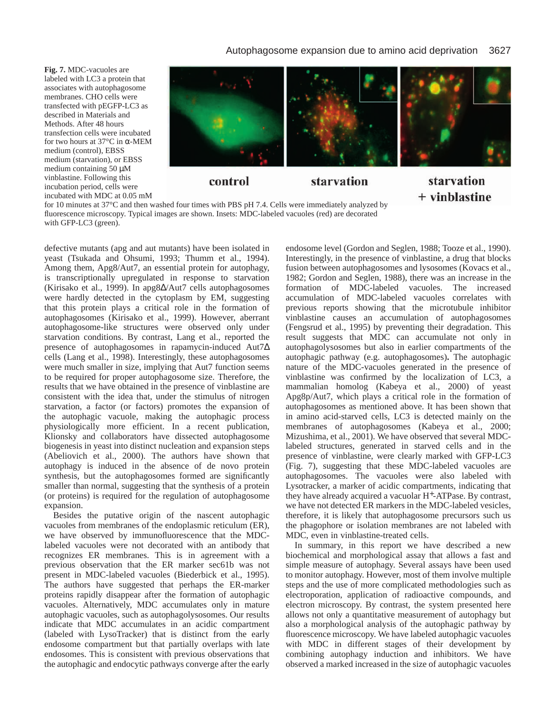**Fig. 7.** MDC-vacuoles are labeled with LC3 a protein that associates with autophagosome membranes. CHO cells were transfected with pEGFP-LC3 as described in Materials and Methods. After 48 hours transfection cells were incubated for two hours at 37°C in α-MEM medium (control), EBSS medium (starvation), or EBSS medium containing 50 µM vinblastine. Following this incubation period, cells were incubated with MDC at 0.05 mM



for 10 minutes at 37°C and then washed four times with PBS pH 7.4. Cells were immediately analyzed by fluorescence microscopy. Typical images are shown. Insets: MDC-labeled vacuoles (red) are decorated with GFP-LC3 (green).

defective mutants (apg and aut mutants) have been isolated in yeast (Tsukada and Ohsumi, 1993; Thumm et al., 1994). Among them, Apg8/Aut7, an essential protein for autophagy, is transcriptionally upregulated in response to starvation (Kirisako et al., 1999). In apg8∆/Aut7 cells autophagosomes were hardly detected in the cytoplasm by EM, suggesting that this protein plays a critical role in the formation of autophagosomes (Kirisako et al., 1999). However, aberrant autophagosome-like structures were observed only under starvation conditions. By contrast, Lang et al., reported the presence of autophagosomes in rapamycin-induced Aut7∆ cells (Lang et al., 1998). Interestingly, these autophagosomes were much smaller in size, implying that Aut7 function seems to be required for proper autophagosome size. Therefore, the results that we have obtained in the presence of vinblastine are consistent with the idea that, under the stimulus of nitrogen starvation, a factor (or factors) promotes the expansion of the autophagic vacuole, making the autophagic process physiologically more efficient. In a recent publication, Klionsky and collaborators have dissected autophagosome biogenesis in yeast into distinct nucleation and expansion steps (Abeliovich et al., 2000). The authors have shown that autophagy is induced in the absence of de novo protein synthesis, but the autophagosomes formed are significantly smaller than normal, suggesting that the synthesis of a protein (or proteins) is required for the regulation of autophagosome expansion.

Besides the putative origin of the nascent autophagic vacuoles from membranes of the endoplasmic reticulum (ER), we have observed by immunofluorescence that the MDClabeled vacuoles were not decorated with an antibody that recognizes ER membranes. This is in agreement with a previous observation that the ER marker sec61b was not present in MDC-labeled vacuoles (Biederbick et al., 1995). The authors have suggested that perhaps the ER-marker proteins rapidly disappear after the formation of autophagic vacuoles. Alternatively, MDC accumulates only in mature autophagic vacuoles, such as autophagolysosomes. Our results indicate that MDC accumulates in an acidic compartment (labeled with LysoTracker) that is distinct from the early endosome compartment but that partially overlaps with late endosomes. This is consistent with previous observations that the autophagic and endocytic pathways converge after the early

endosome level (Gordon and Seglen, 1988; Tooze et al., 1990). Interestingly, in the presence of vinblastine, a drug that blocks fusion between autophagosomes and lysosomes (Kovacs et al., 1982; Gordon and Seglen, 1988), there was an increase in the formation of MDC-labeled vacuoles. The increased accumulation of MDC-labeled vacuoles correlates with previous reports showing that the microtubule inhibitor vinblastine causes an accumulation of autophagosomes (Fengsrud et al., 1995) by preventing their degradation. This result suggests that MDC can accumulate not only in autophagolysosomes but also in earlier compartments of the autophagic pathway (e.g. autophagosomes)**.** The autophagic nature of the MDC-vacuoles generated in the presence of vinblastine was confirmed by the localization of LC3, a mammalian homolog (Kabeya et al., 2000) of yeast Apg8p/Aut7, which plays a critical role in the formation of autophagosomes as mentioned above. It has been shown that in amino acid-starved cells, LC3 is detected mainly on the membranes of autophagosomes (Kabeya et al., 2000; Mizushima, et al., 2001). We have observed that several MDClabeled structures, generated in starved cells and in the presence of vinblastine, were clearly marked with GFP-LC3 (Fig. 7), suggesting that these MDC-labeled vacuoles are autophagosomes. The vacuoles were also labeled with Lysotracker, a marker of acidic compartments, indicating that they have already acquired a vacuolar H+-ATPase. By contrast, we have not detected ER markers in the MDC-labeled vesicles, therefore, it is likely that autophagosome precursors such us the phagophore or isolation membranes are not labeled with MDC, even in vinblastine-treated cells.

 $+$  vinblastine

In summary, in this report we have described a new biochemical and morphological assay that allows a fast and simple measure of autophagy. Several assays have been used to monitor autophagy. However, most of them involve multiple steps and the use of more complicated methodologies such as electroporation, application of radioactive compounds, and electron microscopy. By contrast, the system presented here allows not only a quantitative measurement of autophagy but also a morphological analysis of the autophagic pathway by fluorescence microscopy. We have labeled autophagic vacuoles with MDC in different stages of their development by combining autophagy induction and inhibitors. We have observed a marked increased in the size of autophagic vacuoles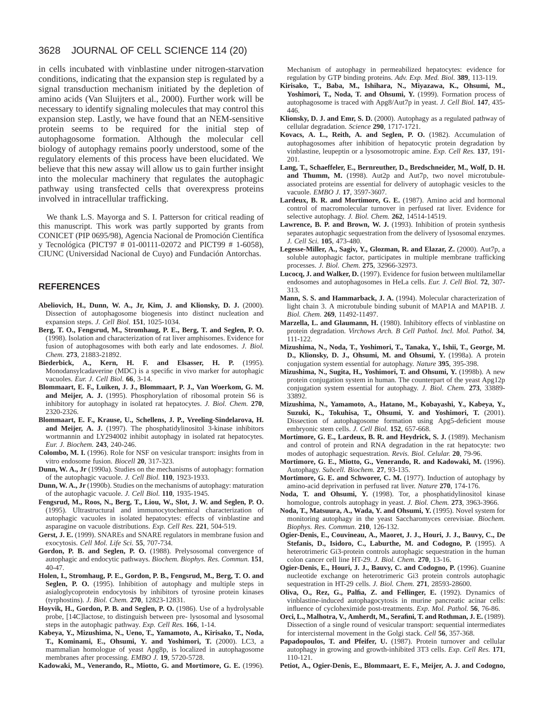#### 3628 JOURNAL OF CELL SCIENCE 114 (20)

in cells incubated with vinblastine under nitrogen-starvation conditions, indicating that the expansion step is regulated by a signal transduction mechanism initiated by the depletion of amino acids (Van Sluijters et al., 2000). Further work will be necessary to identify signaling molecules that may control this expansion step. Lastly, we have found that an NEM-sensitive protein seems to be required for the initial step of autophagosome formation. Although the molecular cell biology of autophagy remains poorly understood, some of the regulatory elements of this process have been elucidated. We believe that this new assay will allow us to gain further insight into the molecular machinery that regulates the autophagic pathway using transfected cells that overexpress proteins involved in intracellular trafficking.

We thank L.S. Mayorga and S. I. Patterson for critical reading of this manuscript. This work was partly supported by grants from CONICET (PIP 0695/98), Agencia Nacional de Promoción Científica y Tecnológica (PICT97 # 01-00111-02072 and PICT99 # 1-6058), CIUNC (Universidad Nacional de Cuyo) and Fundación Antorchas.

#### **REFERENCES**

- **Abeliovich, H., Dunn, W. A., Jr, Kim, J. and Klionsky, D. J.** (2000). Dissection of autophagosome biogenesis into distinct nucleation and expansion steps. *J. Cell Biol.* **151**, 1025-1034.
- **Berg, T. O., Fengsrud, M., Stromhaug, P. E., Berg, T. and Seglen, P. O.** (1998). Isolation and characterization of rat liver amphisomes. Evidence for fusion of autophagosomes with both early and late endosomes. *J. Biol. Chem.* **273**, 21883-21892.
- **Biederbick, A., Kern, H. F. and Elsasser, H. P.** (1995). Monodansylcadaverine (MDC) is a specific in vivo marker for autophagic vacuoles. *Eur. J. Cell Biol.* **66**, 3-14.
- **Blommaart, E. F., Luiken, J. J., Blommaart, P. J., Van Woerkom, G. M. and Meijer, A. J.** (1995). Phosphorylation of ribosomal protein S6 is inhibitory for autophagy in isolated rat hepatocytes. *J. Biol. Chem.* **270**, 2320-2326.
- **Blommaart, E. F., Krause, U., Schellens, J. P., Vreeling-Sindelarova, H. and Meijer, A. J.** (1997). The phosphatidylinositol 3-kinase inhibitors wortmannin and LY294002 inhibit autophagy in isolated rat hepatocytes. *Eur. J. Biochem.* **243**, 240-246.
- **Colombo, M. I.** (1996). Role for NSF on vesicular transport: insights from in vitro endosome fusion. *Biocell* **20**, 317-323.
- **Dunn, W. A., Jr** (1990a). Studies on the mechanisms of autophagy: formation of the autophagic vacuole. *J. Cell Biol.* **110**, 1923-1933.
- **Dunn, W. A., Jr** (1990b). Studies on the mechanisms of autophagy: maturation of the autophagic vacuole. *J. Cell Biol.* **110**, 1935-1945.
- **Fengsrud, M., Roos, N., Berg, T., Liou, W., Slot, J. W. and Seglen, P. O.** (1995). Ultrastructural and immunocytochemical characterization of autophagic vacuoles in isolated hepatocytes: effects of vinblastine and asparagine on vacuole distributions. *Exp. Cell Res.* **221**, 504-519.
- **Gerst, J. E.** (1999). SNAREs and SNARE regulators in membrane fusion and exocytosis. *Cell Mol. Life Sci.* **55**, 707-734.
- **Gordon, P. B. and Seglen, P. O.** (1988). Prelysosomal convergence of autophagic and endocytic pathways. *Biochem. Biophys. Res. Commun.* **151**, 40-47.
- **Holen, I., Stromhaug, P. E., Gordon, P. B., Fengsrud, M., Berg, T. O. and Seglen, P. O.** (1995). Inhibition of autophagy and multiple steps in asialoglycoprotein endocytosis by inhibitors of tyrosine protein kinases (tyrphostins). *J. Biol. Chem.* **270**, 12823-12831.
- Hoyvik, H., Gordon, P. B. and Seglen, P. O. (1986). Use of a hydrolysable probe, [14C]lactose, to distinguish between pre- lysosomal and lysosomal steps in the autophagic pathway. *Exp. Cell Res.* **166**, 1-14.
- **Kabeya, Y., Mizushima, N., Ueno, T., Yamamoto, A., Kirisako, T., Noda, T., Kominami, E., Ohsumi, Y. and Yoshimori, T.** (2000). LC3, a mammalian homologue of yeast Apg8p, is localized in autophagosome membranes after processing. *EMBO J.* **19**, 5720-5728.

**Kadowaki, M., Venerando, R., Miotto, G. and Mortimore, G. E.** (1996).

Mechanism of autophagy in permeabilized hepatocytes: evidence for regulation by GTP binding proteins. *Adv. Exp. Med. Biol.* **389**, 113-119.

- **Kirisako, T., Baba, M., Ishihara, N., Miyazawa, K., Ohsumi, M.,** Yoshimori, T., Noda, T. and Ohsumi, Y. (1999). Formation process of autophagosome is traced with Apg8/Aut7p in yeast. *J. Cell Biol.* **147**, 435- 446.
- **Klionsky, D. J. and Emr, S. D.** (2000). Autophagy as a regulated pathway of cellular degradation. *Science* **290**, 1717-1721.
- **Kovacs, A. L., Reith, A. and Seglen, P. O.** (1982). Accumulation of autophagosomes after inhibition of hepatocytic protein degradation by vinblastine, leupeptin or a lysosomotropic amine. *Exp. Cell Res.* **137**, 191- 201.
- **Lang, T., Schaeffeler, E., Bernreuther, D., Bredschneider, M., Wolf, D. H.** and Thumm, M. (1998). Aut2p and Aut7p, two novel microtubuleassociated proteins are essential for delivery of autophagic vesicles to the vacuole. *EMBO J.* **17**, 3597-3607.
- Lardeux, B. R. and Mortimore, G. E. (1987). Amino acid and hormonal control of macromolecular turnover in perfused rat liver. Evidence for selective autophagy. *J. Biol. Chem.* **262**, 14514-14519.
- Lawrence, B. P. and Brown, W. J. (1993). Inhibition of protein synthesis separates autophagic sequestration from the delivery of lysosomal enzymes. *J. Cell Sci.* **105**, 473-480.
- **Legesse-Miller, A., Sagiv, Y., Glozman, R. and Elazar, Z.** (2000). Aut7p, a soluble autophagic factor, participates in multiple membrane trafficking processes. *J. Biol. Chem.* **275**, 32966-32973.
- **Lucocq, J. and Walker, D.** (1997). Evidence for fusion between multilamellar endosomes and autophagosomes in HeLa cells. *Eur. J. Cell Biol.* **72**, 307- 313.
- **Mann, S. S. and Hammarback, J. A.** (1994). Molecular characterization of light chain 3. A microtubule binding subunit of MAP1A and MAP1B. *J. Biol. Chem.* **269**, 11492-11497.
- **Marzella, L. and Glaumann, H.** (1980). Inhibitory effects of vinblastine on protein degradation. *Virchows Arch. B Cell Pathol. Incl. Mol. Pathol.* **34**, 111-122.
- **Mizushima, N., Noda, T., Yoshimori, T., Tanaka, Y., Ishii, T., George, M. D., Klionsky, D. J., Ohsumi, M. and Ohsumi, Y.** (1998a). A protein conjugation system essential for autophagy. *Nature* **395**, 395-398.
- **Mizushima, N., Sugita, H., Yoshimori, T. and Ohsumi, Y.** (1998b). A new protein conjugation system in human. The counterpart of the yeast Apg12p conjugation system essential for autophagy. *J. Biol. Chem.* **273**, 33889- 33892.
- **Mizushima, N., Yamamoto, A., Hatano, M., Kobayashi, Y., Kabeya, Y., Suzuki, K., Tokuhisa, T., Ohsumi, Y. and Yoshimori, T.** (2001). Dissection of autophagosome formation using Apg5-deficient mouse embryonic stem cells. *J. Cell Biol.* **152**, 657-668.
- Mortimore, G. E., Lardeux, B. R. and Heydrick, S. J. (1989). Mechanism and control of protein and RNA degradation in the rat hepatocyte: two modes of autophagic sequestration. *Revis. Biol. Celular.* **20**, 79-96.
- **Mortimore, G. E., Miotto, G., Venerando, R. and Kadowaki, M.** (1996). Autophagy. *Subcell. Biochem.* **27**, 93-135.
- **Mortimore, G. E. and Schworer, C. M.** (1977). Induction of autophagy by amino-acid deprivation in perfused rat liver. *Nature* **270**, 174-176.
- **Noda, T. and Ohsumi, Y.** (1998). Tor, a phosphatidylinositol kinase homologue, controls autophagy in yeast. *J. Biol. Chem.* **273**, 3963-3966.
- Noda, T., Matsuura, A., Wada, Y. and Ohsumi, Y. (1995). Novel system for monitoring autophagy in the yeast Saccharomyces cerevisiae. *Biochem. Biophys. Res. Commun.* **210**, 126-132.
- **Ogier-Denis, E., Couvineau, A., Maoret, J. J., Houri, J. J., Bauvy, C., De Stefanis, D., Isidoro, C., Laburthe, M. and Codogno, P.** (1995). A heterotrimeric Gi3-protein controls autophagic sequestration in the human colon cancer cell line HT-29. *J. Biol. Chem.* **270**, 13-16.
- **Ogier-Denis, E., Houri, J. J., Bauvy, C. and Codogno, P.** (1996). Guanine nucleotide exchange on heterotrimeric Gi3 protein controls autophagic sequestration in HT-29 cells. *J. Biol. Chem.* **271**, 28593-28600.
- **Oliva, O., Rez, G., Palfia, Z. and Fellinger, E.** (1992). Dynamics of vinblastine-induced autophagocytosis in murine pancreatic acinar cells: influence of cycloheximide post-treatments. *Exp. Mol. Pathol.* **56**, 76-86.
- **Orci, L., Malhotra, V., Amherdt, M., Serafini, T. and Rothman, J. E.** (1989). Dissection of a single round of vesicular transport: sequential intermediates for intercisternal movement in the Golgi stack. *Cell* **56**, 357-368.
- Papadopoulos, T. and Pfeifer, U. (1987). Protein turnover and cellular autophagy in growing and growth-inhibited 3T3 cells. *Exp. Cell Res.* **171**, 110-121.
- **Petiot, A., Ogier-Denis, E., Blommaart, E. F., Meijer, A. J. and Codogno,**